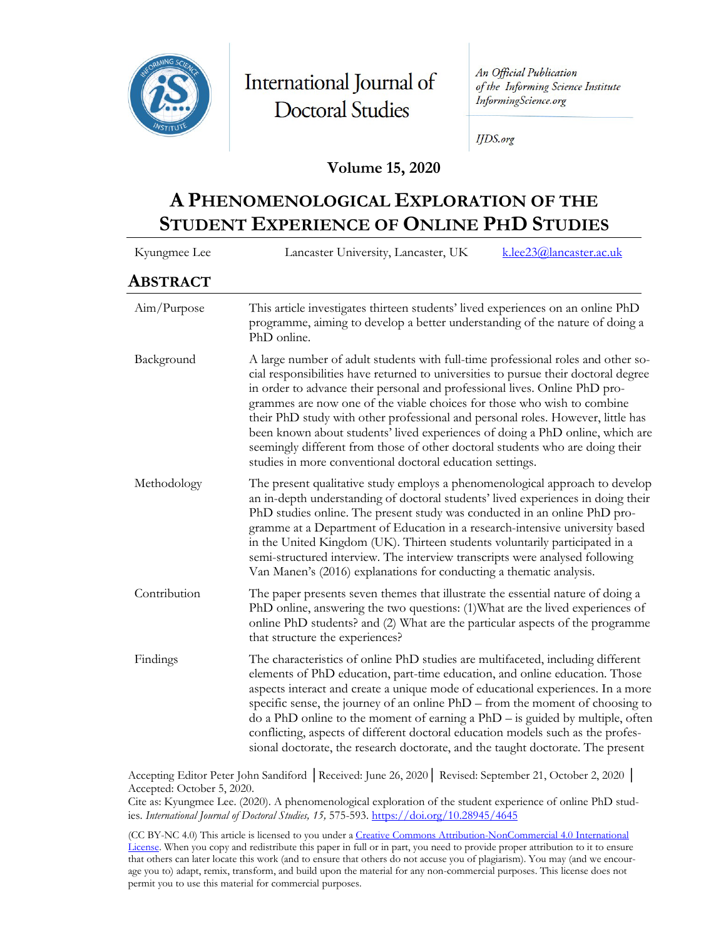

International Journal of **Doctoral Studies** 

An Official Publication of the Informing Science Institute InformingScience.org

**IJDS.org** 

### **Volume 15, 2020**

# **A PHENOMENOLOGICAL EXPLORATION OF THE STUDENT EXPERIENCE OF ONLINE PHD STUDIES**

| Kyungmee Lee | k.lee23@lancaster.ac.uk<br>Lancaster University, Lancaster, UK                                                                                                                                                                                                                                                                                                                                                                                                                                                                                                                                                                                     |  |  |  |  |
|--------------|----------------------------------------------------------------------------------------------------------------------------------------------------------------------------------------------------------------------------------------------------------------------------------------------------------------------------------------------------------------------------------------------------------------------------------------------------------------------------------------------------------------------------------------------------------------------------------------------------------------------------------------------------|--|--|--|--|
| ABSTRACT     |                                                                                                                                                                                                                                                                                                                                                                                                                                                                                                                                                                                                                                                    |  |  |  |  |
| Aim/Purpose  | This article investigates thirteen students' lived experiences on an online PhD<br>programme, aiming to develop a better understanding of the nature of doing a<br>PhD online.                                                                                                                                                                                                                                                                                                                                                                                                                                                                     |  |  |  |  |
| Background   | A large number of adult students with full-time professional roles and other so-<br>cial responsibilities have returned to universities to pursue their doctoral degree<br>in order to advance their personal and professional lives. Online PhD pro-<br>grammes are now one of the viable choices for those who wish to combine<br>their PhD study with other professional and personal roles. However, little has<br>been known about students' lived experiences of doing a PhD online, which are<br>seemingly different from those of other doctoral students who are doing their<br>studies in more conventional doctoral education settings. |  |  |  |  |
| Methodology  | The present qualitative study employs a phenomenological approach to develop<br>an in-depth understanding of doctoral students' lived experiences in doing their<br>PhD studies online. The present study was conducted in an online PhD pro-<br>gramme at a Department of Education in a research-intensive university based<br>in the United Kingdom (UK). Thirteen students voluntarily participated in a<br>semi-structured interview. The interview transcripts were analysed following<br>Van Manen's (2016) explanations for conducting a thematic analysis.                                                                                |  |  |  |  |
| Contribution | The paper presents seven themes that illustrate the essential nature of doing a<br>PhD online, answering the two questions: (1) What are the lived experiences of<br>online PhD students? and (2) What are the particular aspects of the programme<br>that structure the experiences?                                                                                                                                                                                                                                                                                                                                                              |  |  |  |  |
| Findings     | The characteristics of online PhD studies are multifaceted, including different<br>elements of PhD education, part-time education, and online education. Those<br>aspects interact and create a unique mode of educational experiences. In a more<br>specific sense, the journey of an online PhD – from the moment of choosing to<br>do a PhD online to the moment of earning a $PhD -$ is guided by multiple, often<br>conflicting, aspects of different doctoral education models such as the profes-<br>sional doctorate, the research doctorate, and the taught doctorate. The present                                                        |  |  |  |  |

Accepting Editor Peter John Sandiford │Received: June 26, 2020│ Revised: September 21, October 2, 2020 │ Accepted: October 5, 2020.

Cite as: Kyungmee Lee. (2020). A phenomenological exploration of the student experience of online PhD studies. *International Journal of Doctoral Studies, 15,* 575-593[. https://doi.org/10.28945/4645](https://doi.org/10.28945/4645)

(CC BY-NC 4.0) This article is licensed to you under a [Creative Commons Attribution-NonCommercial 4.0 International](https://creativecommons.org/licenses/by-nc/4.0/)  [License.](https://creativecommons.org/licenses/by-nc/4.0/) When you copy and redistribute this paper in full or in part, you need to provide proper attribution to it to ensure that others can later locate this work (and to ensure that others do not accuse you of plagiarism). You may (and we encourage you to) adapt, remix, transform, and build upon the material for any non-commercial purposes. This license does not permit you to use this material for commercial purposes.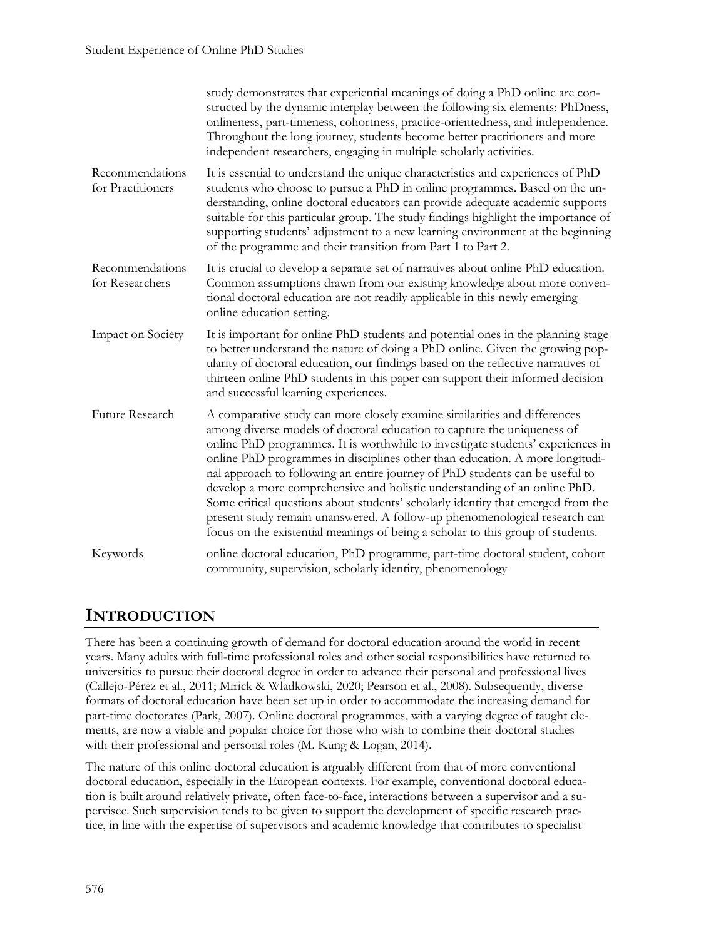|                                      | study demonstrates that experiential meanings of doing a PhD online are con-<br>structed by the dynamic interplay between the following six elements: PhDness,<br>onlineness, part-timeness, cohortness, practice-orientedness, and independence.<br>Throughout the long journey, students become better practitioners and more<br>independent researchers, engaging in multiple scholarly activities.                                                                                                                                                                                                                                                                                                                                    |  |
|--------------------------------------|-------------------------------------------------------------------------------------------------------------------------------------------------------------------------------------------------------------------------------------------------------------------------------------------------------------------------------------------------------------------------------------------------------------------------------------------------------------------------------------------------------------------------------------------------------------------------------------------------------------------------------------------------------------------------------------------------------------------------------------------|--|
| Recommendations<br>for Practitioners | It is essential to understand the unique characteristics and experiences of PhD<br>students who choose to pursue a PhD in online programmes. Based on the un-<br>derstanding, online doctoral educators can provide adequate academic supports<br>suitable for this particular group. The study findings highlight the importance of<br>supporting students' adjustment to a new learning environment at the beginning<br>of the programme and their transition from Part 1 to Part 2.                                                                                                                                                                                                                                                    |  |
| Recommendations<br>for Researchers   | It is crucial to develop a separate set of narratives about online PhD education.<br>Common assumptions drawn from our existing knowledge about more conven-<br>tional doctoral education are not readily applicable in this newly emerging<br>online education setting.                                                                                                                                                                                                                                                                                                                                                                                                                                                                  |  |
| Impact on Society                    | It is important for online PhD students and potential ones in the planning stage<br>to better understand the nature of doing a PhD online. Given the growing pop-<br>ularity of doctoral education, our findings based on the reflective narratives of<br>thirteen online PhD students in this paper can support their informed decision<br>and successful learning experiences.                                                                                                                                                                                                                                                                                                                                                          |  |
| Future Research                      | A comparative study can more closely examine similarities and differences<br>among diverse models of doctoral education to capture the uniqueness of<br>online PhD programmes. It is worthwhile to investigate students' experiences in<br>online PhD programmes in disciplines other than education. A more longitudi-<br>nal approach to following an entire journey of PhD students can be useful to<br>develop a more comprehensive and holistic understanding of an online PhD.<br>Some critical questions about students' scholarly identity that emerged from the<br>present study remain unanswered. A follow-up phenomenological research can<br>focus on the existential meanings of being a scholar to this group of students. |  |
| Keywords                             | online doctoral education, PhD programme, part-time doctoral student, cohort<br>community, supervision, scholarly identity, phenomenology                                                                                                                                                                                                                                                                                                                                                                                                                                                                                                                                                                                                 |  |

## **INTRODUCTION**

There has been a continuing growth of demand for doctoral education around the world in recent years. Many adults with full-time professional roles and other social responsibilities have returned to universities to pursue their doctoral degree in order to advance their personal and professional lives (Callejo-Pérez et al., 2011; Mirick & Wladkowski, 2020; Pearson et al., 2008). Subsequently, diverse formats of doctoral education have been set up in order to accommodate the increasing demand for part-time doctorates (Park, 2007). Online doctoral programmes, with a varying degree of taught elements, are now a viable and popular choice for those who wish to combine their doctoral studies with their professional and personal roles (M. Kung & Logan, 2014).

The nature of this online doctoral education is arguably different from that of more conventional doctoral education, especially in the European contexts. For example, conventional doctoral education is built around relatively private, often face-to-face, interactions between a supervisor and a supervisee. Such supervision tends to be given to support the development of specific research practice, in line with the expertise of supervisors and academic knowledge that contributes to specialist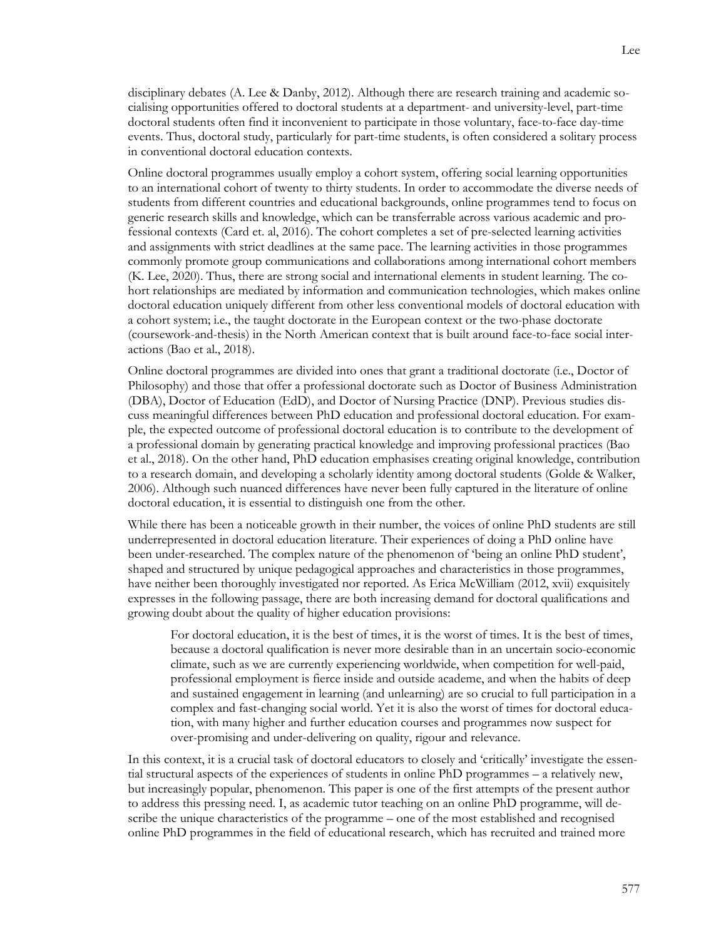disciplinary debates (A. Lee & Danby, 2012). Although there are research training and academic socialising opportunities offered to doctoral students at a department- and university-level, part-time doctoral students often find it inconvenient to participate in those voluntary, face-to-face day-time events. Thus, doctoral study, particularly for part-time students, is often considered a solitary process in conventional doctoral education contexts.

Online doctoral programmes usually employ a cohort system, offering social learning opportunities to an international cohort of twenty to thirty students. In order to accommodate the diverse needs of students from different countries and educational backgrounds, online programmes tend to focus on generic research skills and knowledge, which can be transferrable across various academic and professional contexts (Card et. al, 2016). The cohort completes a set of pre-selected learning activities and assignments with strict deadlines at the same pace. The learning activities in those programmes commonly promote group communications and collaborations among international cohort members (K. Lee, 2020). Thus, there are strong social and international elements in student learning. The cohort relationships are mediated by information and communication technologies, which makes online doctoral education uniquely different from other less conventional models of doctoral education with a cohort system; i.e., the taught doctorate in the European context or the two-phase doctorate (coursework-and-thesis) in the North American context that is built around face-to-face social interactions (Bao et al., 2018).

Online doctoral programmes are divided into ones that grant a traditional doctorate (i.e., Doctor of Philosophy) and those that offer a professional doctorate such as Doctor of Business Administration (DBA), Doctor of Education (EdD), and Doctor of Nursing Practice (DNP). Previous studies discuss meaningful differences between PhD education and professional doctoral education. For example, the expected outcome of professional doctoral education is to contribute to the development of a professional domain by generating practical knowledge and improving professional practices (Bao et al., 2018). On the other hand, PhD education emphasises creating original knowledge, contribution to a research domain, and developing a scholarly identity among doctoral students (Golde & Walker, 2006). Although such nuanced differences have never been fully captured in the literature of online doctoral education, it is essential to distinguish one from the other.

While there has been a noticeable growth in their number, the voices of online PhD students are still underrepresented in doctoral education literature. Their experiences of doing a PhD online have been under-researched. The complex nature of the phenomenon of 'being an online PhD student', shaped and structured by unique pedagogical approaches and characteristics in those programmes, have neither been thoroughly investigated nor reported. As Erica McWilliam (2012, xvii) exquisitely expresses in the following passage, there are both increasing demand for doctoral qualifications and growing doubt about the quality of higher education provisions:

For doctoral education, it is the best of times, it is the worst of times. It is the best of times, because a doctoral qualification is never more desirable than in an uncertain socio-economic climate, such as we are currently experiencing worldwide, when competition for well-paid, professional employment is fierce inside and outside academe, and when the habits of deep and sustained engagement in learning (and unlearning) are so crucial to full participation in a complex and fast-changing social world. Yet it is also the worst of times for doctoral education, with many higher and further education courses and programmes now suspect for over-promising and under-delivering on quality, rigour and relevance.

In this context, it is a crucial task of doctoral educators to closely and 'critically' investigate the essential structural aspects of the experiences of students in online PhD programmes – a relatively new, but increasingly popular, phenomenon. This paper is one of the first attempts of the present author to address this pressing need. I, as academic tutor teaching on an online PhD programme, will describe the unique characteristics of the programme – one of the most established and recognised online PhD programmes in the field of educational research, which has recruited and trained more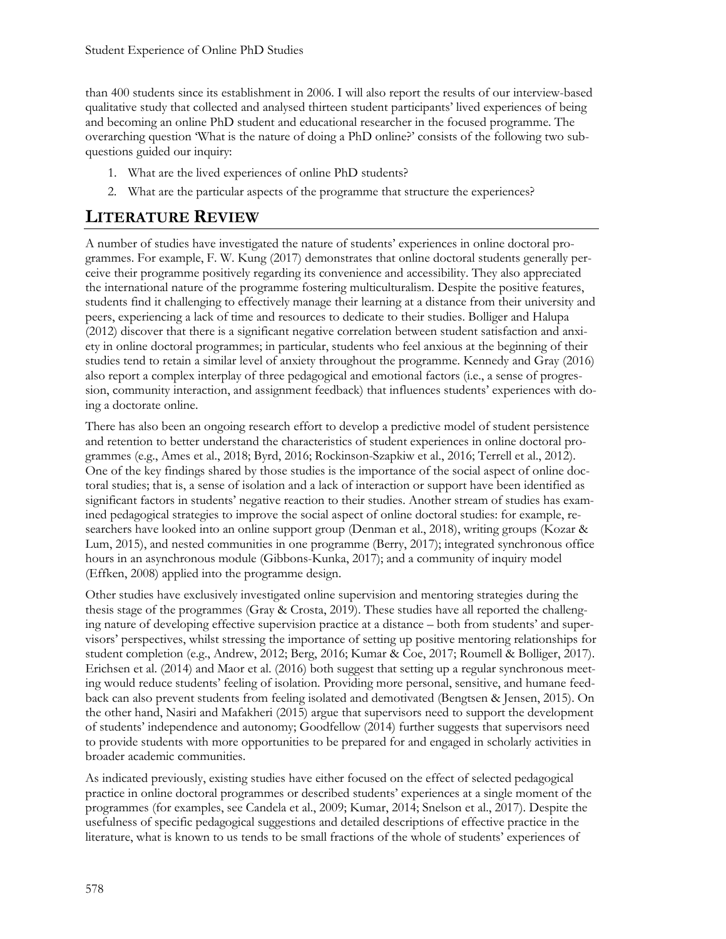than 400 students since its establishment in 2006. I will also report the results of our interview-based qualitative study that collected and analysed thirteen student participants' lived experiences of being and becoming an online PhD student and educational researcher in the focused programme. The overarching question 'What is the nature of doing a PhD online?' consists of the following two subquestions guided our inquiry:

- 1. What are the lived experiences of online PhD students?
- 2. What are the particular aspects of the programme that structure the experiences?

## **LITERATURE REVIEW**

A number of studies have investigated the nature of students' experiences in online doctoral programmes. For example, F. W. Kung (2017) demonstrates that online doctoral students generally perceive their programme positively regarding its convenience and accessibility. They also appreciated the international nature of the programme fostering multiculturalism. Despite the positive features, students find it challenging to effectively manage their learning at a distance from their university and peers, experiencing a lack of time and resources to dedicate to their studies. Bolliger and Halupa (2012) discover that there is a significant negative correlation between student satisfaction and anxiety in online doctoral programmes; in particular, students who feel anxious at the beginning of their studies tend to retain a similar level of anxiety throughout the programme. Kennedy and Gray (2016) also report a complex interplay of three pedagogical and emotional factors (i.e., a sense of progression, community interaction, and assignment feedback) that influences students' experiences with doing a doctorate online.

There has also been an ongoing research effort to develop a predictive model of student persistence and retention to better understand the characteristics of student experiences in online doctoral programmes (e.g., Ames et al., 2018; Byrd, 2016; Rockinson-Szapkiw et al., 2016; Terrell et al., 2012). One of the key findings shared by those studies is the importance of the social aspect of online doctoral studies; that is, a sense of isolation and a lack of interaction or support have been identified as significant factors in students' negative reaction to their studies. Another stream of studies has examined pedagogical strategies to improve the social aspect of online doctoral studies: for example, researchers have looked into an online support group (Denman et al., 2018), writing groups (Kozar & Lum, 2015), and nested communities in one programme (Berry, 2017); integrated synchronous office hours in an asynchronous module (Gibbons-Kunka, 2017); and a community of inquiry model (Effken, 2008) applied into the programme design.

Other studies have exclusively investigated online supervision and mentoring strategies during the thesis stage of the programmes (Gray & Crosta, 2019). These studies have all reported the challenging nature of developing effective supervision practice at a distance – both from students' and supervisors' perspectives, whilst stressing the importance of setting up positive mentoring relationships for student completion (e.g., Andrew, 2012; Berg, 2016; Kumar & Coe, 2017; Roumell & Bolliger, 2017). Erichsen et al. (2014) and Maor et al. (2016) both suggest that setting up a regular synchronous meeting would reduce students' feeling of isolation. Providing more personal, sensitive, and humane feedback can also prevent students from feeling isolated and demotivated (Bengtsen & Jensen, 2015). On the other hand, Nasiri and Mafakheri (2015) argue that supervisors need to support the development of students' independence and autonomy; Goodfellow (2014) further suggests that supervisors need to provide students with more opportunities to be prepared for and engaged in scholarly activities in broader academic communities.

As indicated previously, existing studies have either focused on the effect of selected pedagogical practice in online doctoral programmes or described students' experiences at a single moment of the programmes (for examples, see Candela et al., 2009; Kumar, 2014; Snelson et al., 2017). Despite the usefulness of specific pedagogical suggestions and detailed descriptions of effective practice in the literature, what is known to us tends to be small fractions of the whole of students' experiences of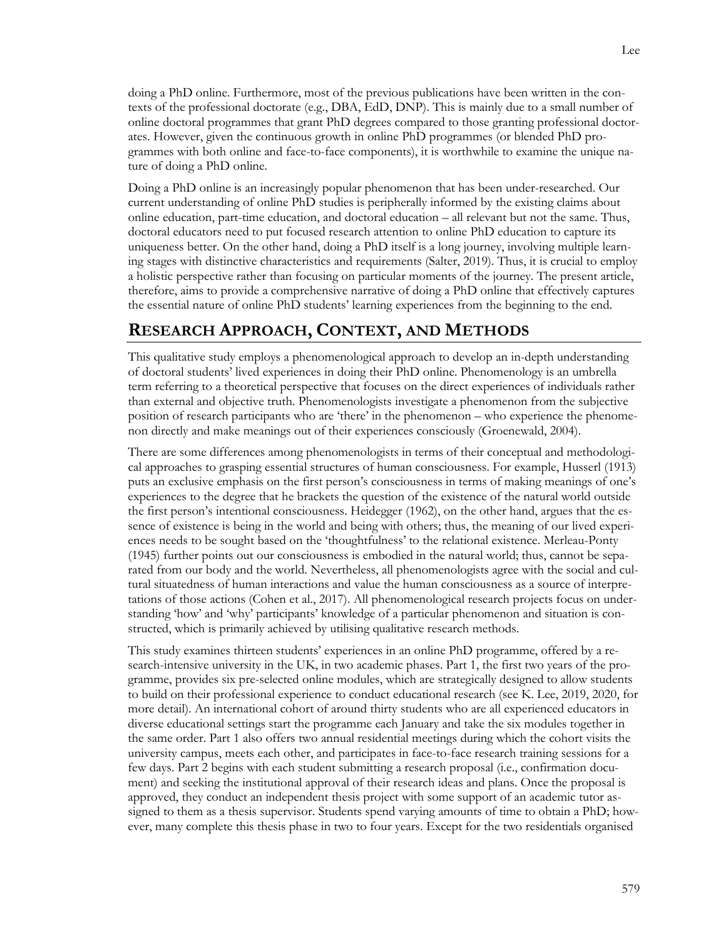doing a PhD online. Furthermore, most of the previous publications have been written in the contexts of the professional doctorate (e.g., DBA, EdD, DNP). This is mainly due to a small number of online doctoral programmes that grant PhD degrees compared to those granting professional doctorates. However, given the continuous growth in online PhD programmes (or blended PhD programmes with both online and face-to-face components), it is worthwhile to examine the unique nature of doing a PhD online.

Doing a PhD online is an increasingly popular phenomenon that has been under-researched. Our current understanding of online PhD studies is peripherally informed by the existing claims about online education, part-time education, and doctoral education – all relevant but not the same. Thus, doctoral educators need to put focused research attention to online PhD education to capture its uniqueness better. On the other hand, doing a PhD itself is a long journey, involving multiple learning stages with distinctive characteristics and requirements (Salter, 2019). Thus, it is crucial to employ a holistic perspective rather than focusing on particular moments of the journey. The present article, therefore, aims to provide a comprehensive narrative of doing a PhD online that effectively captures the essential nature of online PhD students' learning experiences from the beginning to the end.

### **RESEARCH APPROACH, CONTEXT, AND METHODS**

This qualitative study employs a phenomenological approach to develop an in-depth understanding of doctoral students' lived experiences in doing their PhD online. Phenomenology is an umbrella term referring to a theoretical perspective that focuses on the direct experiences of individuals rather than external and objective truth. Phenomenologists investigate a phenomenon from the subjective position of research participants who are 'there' in the phenomenon – who experience the phenomenon directly and make meanings out of their experiences consciously (Groenewald, 2004).

There are some differences among phenomenologists in terms of their conceptual and methodological approaches to grasping essential structures of human consciousness. For example, Husserl (1913) puts an exclusive emphasis on the first person's consciousness in terms of making meanings of one's experiences to the degree that he brackets the question of the existence of the natural world outside the first person's intentional consciousness. Heidegger (1962), on the other hand, argues that the essence of existence is being in the world and being with others; thus, the meaning of our lived experiences needs to be sought based on the 'thoughtfulness' to the relational existence. Merleau-Ponty (1945) further points out our consciousness is embodied in the natural world; thus, cannot be separated from our body and the world. Nevertheless, all phenomenologists agree with the social and cultural situatedness of human interactions and value the human consciousness as a source of interpretations of those actions (Cohen et al., 2017). All phenomenological research projects focus on understanding 'how' and 'why' participants' knowledge of a particular phenomenon and situation is constructed, which is primarily achieved by utilising qualitative research methods.

This study examines thirteen students' experiences in an online PhD programme, offered by a research-intensive university in the UK, in two academic phases. Part 1, the first two years of the programme, provides six pre-selected online modules, which are strategically designed to allow students to build on their professional experience to conduct educational research (see K. Lee, 2019, 2020, for more detail). An international cohort of around thirty students who are all experienced educators in diverse educational settings start the programme each January and take the six modules together in the same order. Part 1 also offers two annual residential meetings during which the cohort visits the university campus, meets each other, and participates in face-to-face research training sessions for a few days. Part 2 begins with each student submitting a research proposal (i.e., confirmation document) and seeking the institutional approval of their research ideas and plans. Once the proposal is approved, they conduct an independent thesis project with some support of an academic tutor assigned to them as a thesis supervisor. Students spend varying amounts of time to obtain a PhD; however, many complete this thesis phase in two to four years. Except for the two residentials organised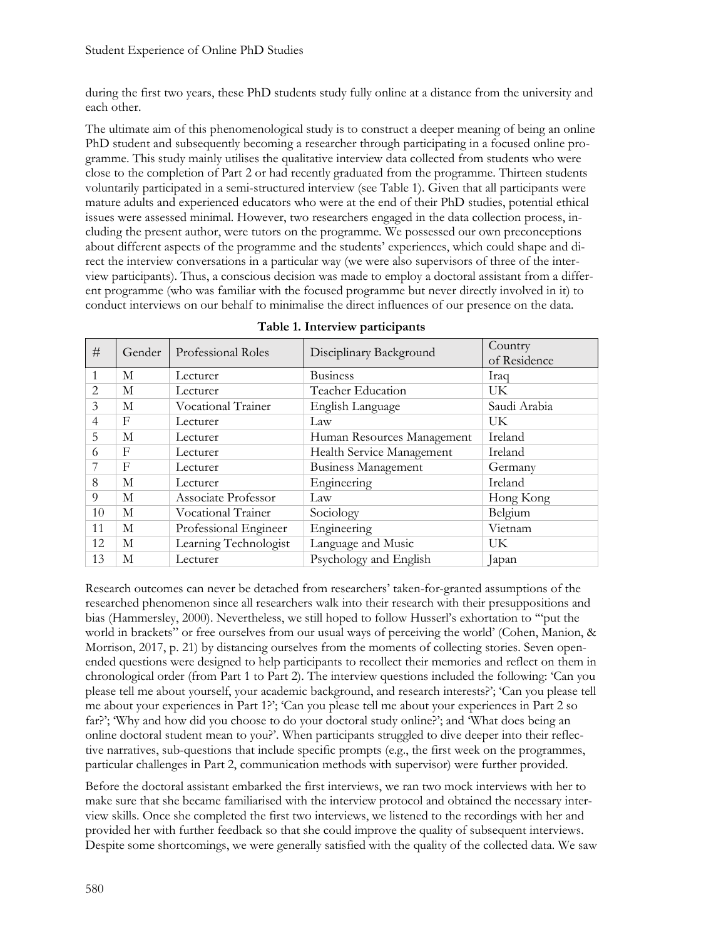during the first two years, these PhD students study fully online at a distance from the university and each other.

The ultimate aim of this phenomenological study is to construct a deeper meaning of being an online PhD student and subsequently becoming a researcher through participating in a focused online programme. This study mainly utilises the qualitative interview data collected from students who were close to the completion of Part 2 or had recently graduated from the programme. Thirteen students voluntarily participated in a semi-structured interview (see Table 1). Given that all participants were mature adults and experienced educators who were at the end of their PhD studies, potential ethical issues were assessed minimal. However, two researchers engaged in the data collection process, including the present author, were tutors on the programme. We possessed our own preconceptions about different aspects of the programme and the students' experiences, which could shape and direct the interview conversations in a particular way (we were also supervisors of three of the interview participants). Thus, a conscious decision was made to employ a doctoral assistant from a different programme (who was familiar with the focused programme but never directly involved in it) to conduct interviews on our behalf to minimalise the direct influences of our presence on the data.

| #              | Gender | Professional Roles    | Disciplinary Background    | Country<br>of Residence |
|----------------|--------|-----------------------|----------------------------|-------------------------|
| $\mathbf{1}$   | М      | Lecturer              | <b>Business</b>            | Iraq                    |
| $\overline{2}$ | М      | Lecturer              | Teacher Education          | UK                      |
| $\mathcal{E}$  | M      | Vocational Trainer    | English Language           | Saudi Arabia            |
| 4              | F      | Lecturer              | Law                        | UK                      |
| 5              | М      | Lecturer              | Human Resources Management | Ireland                 |
| 6              | F      | Lecturer              | Health Service Management  | Ireland                 |
|                | F      | Lecturer              | <b>Business Management</b> | Germany                 |
| 8              | М      | Lecturer              | Engineering                | Ireland                 |
| 9              | М      | Associate Professor   | Law                        | Hong Kong               |
| 10             | М      | Vocational Trainer    | Sociology                  | Belgium                 |
| 11             | М      | Professional Engineer | Engineering                | Vietnam                 |
| 12             | M      | Learning Technologist | Language and Music         | UK                      |
| 13             | М      | Lecturer              | Psychology and English     | Japan                   |

**Table 1. Interview participants**

Research outcomes can never be detached from researchers' taken-for-granted assumptions of the researched phenomenon since all researchers walk into their research with their presuppositions and bias (Hammersley, 2000). Nevertheless, we still hoped to follow Husserl's exhortation to '"put the world in brackets" or free ourselves from our usual ways of perceiving the world' (Cohen, Manion, & Morrison, 2017, p. 21) by distancing ourselves from the moments of collecting stories. Seven openended questions were designed to help participants to recollect their memories and reflect on them in chronological order (from Part 1 to Part 2). The interview questions included the following: 'Can you please tell me about yourself, your academic background, and research interests?'; 'Can you please tell me about your experiences in Part 1?'; 'Can you please tell me about your experiences in Part 2 so far?'; 'Why and how did you choose to do your doctoral study online?'; and 'What does being an online doctoral student mean to you?'. When participants struggled to dive deeper into their reflective narratives, sub-questions that include specific prompts (e.g., the first week on the programmes, particular challenges in Part 2, communication methods with supervisor) were further provided.

Before the doctoral assistant embarked the first interviews, we ran two mock interviews with her to make sure that she became familiarised with the interview protocol and obtained the necessary interview skills. Once she completed the first two interviews, we listened to the recordings with her and provided her with further feedback so that she could improve the quality of subsequent interviews. Despite some shortcomings, we were generally satisfied with the quality of the collected data. We saw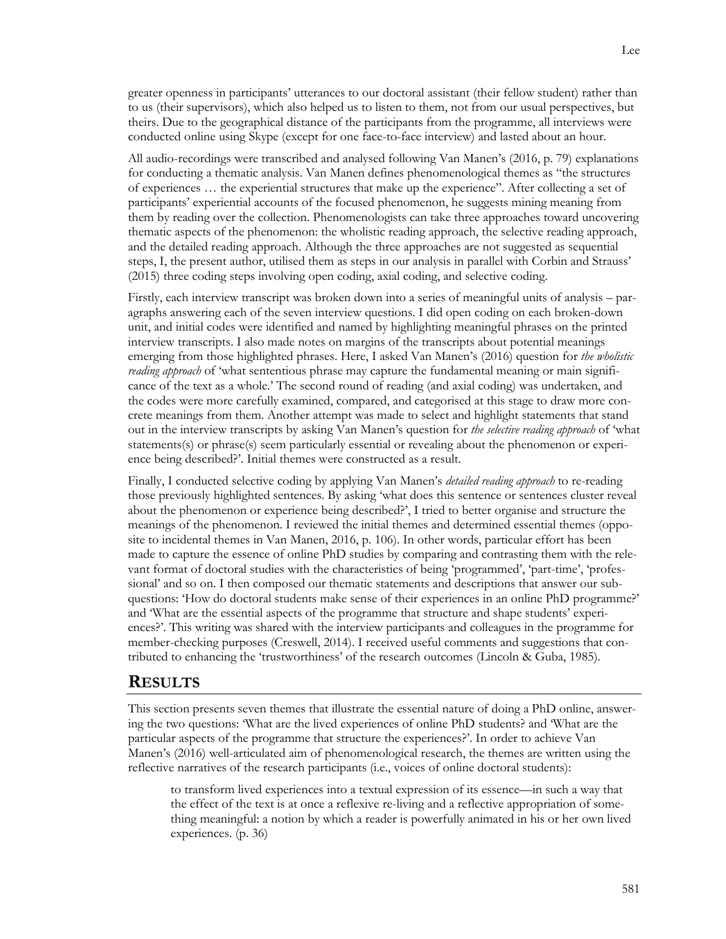greater openness in participants' utterances to our doctoral assistant (their fellow student) rather than to us (their supervisors), which also helped us to listen to them, not from our usual perspectives, but theirs. Due to the geographical distance of the participants from the programme, all interviews were conducted online using Skype (except for one face-to-face interview) and lasted about an hour.

All audio-recordings were transcribed and analysed following Van Manen's (2016, p. 79) explanations for conducting a thematic analysis. Van Manen defines phenomenological themes as "the structures of experiences … the experiential structures that make up the experience". After collecting a set of participants' experiential accounts of the focused phenomenon, he suggests mining meaning from them by reading over the collection. Phenomenologists can take three approaches toward uncovering thematic aspects of the phenomenon: the wholistic reading approach, the selective reading approach, and the detailed reading approach. Although the three approaches are not suggested as sequential steps, I, the present author, utilised them as steps in our analysis in parallel with Corbin and Strauss' (2015) three coding steps involving open coding, axial coding, and selective coding.

Firstly, each interview transcript was broken down into a series of meaningful units of analysis – paragraphs answering each of the seven interview questions. I did open coding on each broken-down unit, and initial codes were identified and named by highlighting meaningful phrases on the printed interview transcripts. I also made notes on margins of the transcripts about potential meanings emerging from those highlighted phrases. Here, I asked Van Manen's (2016) question for *the wholistic reading approach* of 'what sententious phrase may capture the fundamental meaning or main significance of the text as a whole.' The second round of reading (and axial coding) was undertaken, and the codes were more carefully examined, compared, and categorised at this stage to draw more concrete meanings from them. Another attempt was made to select and highlight statements that stand out in the interview transcripts by asking Van Manen's question for *the selective reading approach* of 'what statements(s) or phrase(s) seem particularly essential or revealing about the phenomenon or experience being described?'. Initial themes were constructed as a result.

Finally, I conducted selective coding by applying Van Manen's *detailed reading approach* to re-reading those previously highlighted sentences. By asking 'what does this sentence or sentences cluster reveal about the phenomenon or experience being described?', I tried to better organise and structure the meanings of the phenomenon. I reviewed the initial themes and determined essential themes (opposite to incidental themes in Van Manen, 2016, p. 106). In other words, particular effort has been made to capture the essence of online PhD studies by comparing and contrasting them with the relevant format of doctoral studies with the characteristics of being 'programmed', 'part-time', 'professional' and so on. I then composed our thematic statements and descriptions that answer our subquestions: 'How do doctoral students make sense of their experiences in an online PhD programme?' and 'What are the essential aspects of the programme that structure and shape students' experiences?'. This writing was shared with the interview participants and colleagues in the programme for member-checking purposes (Creswell, 2014). I received useful comments and suggestions that contributed to enhancing the 'trustworthiness' of the research outcomes (Lincoln & Guba, 1985).

#### **RESULTS**

This section presents seven themes that illustrate the essential nature of doing a PhD online, answering the two questions: 'What are the lived experiences of online PhD students? and 'What are the particular aspects of the programme that structure the experiences?'. In order to achieve Van Manen's (2016) well-articulated aim of phenomenological research, the themes are written using the reflective narratives of the research participants (i.e., voices of online doctoral students):

to transform lived experiences into a textual expression of its essence—in such a way that the effect of the text is at once a reflexive re-living and a reflective appropriation of something meaningful: a notion by which a reader is powerfully animated in his or her own lived experiences. (p. 36)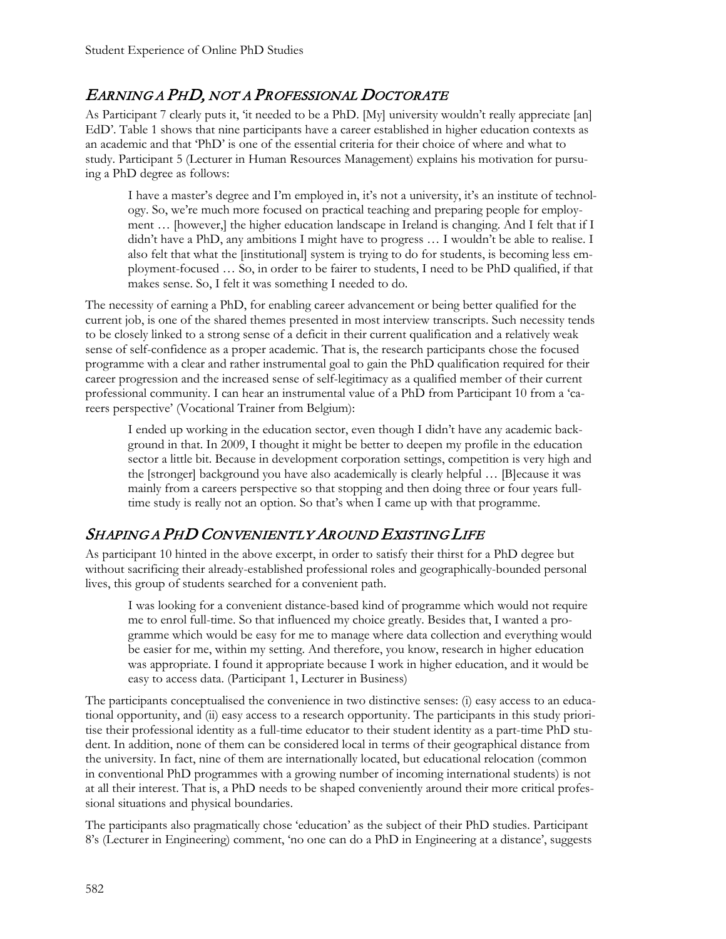## EARNING A PHD, NOT A PROFESSIONAL DOCTORATE

As Participant 7 clearly puts it, 'it needed to be a PhD. [My] university wouldn't really appreciate [an] EdD'. Table 1 shows that nine participants have a career established in higher education contexts as an academic and that 'PhD' is one of the essential criteria for their choice of where and what to study. Participant 5 (Lecturer in Human Resources Management) explains his motivation for pursuing a PhD degree as follows:

I have a master's degree and I'm employed in, it's not a university, it's an institute of technology. So, we're much more focused on practical teaching and preparing people for employment … [however,] the higher education landscape in Ireland is changing. And I felt that if I didn't have a PhD, any ambitions I might have to progress … I wouldn't be able to realise. I also felt that what the [institutional] system is trying to do for students, is becoming less employment-focused … So, in order to be fairer to students, I need to be PhD qualified, if that makes sense. So, I felt it was something I needed to do.

The necessity of earning a PhD, for enabling career advancement or being better qualified for the current job, is one of the shared themes presented in most interview transcripts. Such necessity tends to be closely linked to a strong sense of a deficit in their current qualification and a relatively weak sense of self-confidence as a proper academic. That is, the research participants chose the focused programme with a clear and rather instrumental goal to gain the PhD qualification required for their career progression and the increased sense of self-legitimacy as a qualified member of their current professional community. I can hear an instrumental value of a PhD from Participant 10 from a 'careers perspective' (Vocational Trainer from Belgium):

I ended up working in the education sector, even though I didn't have any academic background in that. In 2009, I thought it might be better to deepen my profile in the education sector a little bit. Because in development corporation settings, competition is very high and the [stronger] background you have also academically is clearly helpful … [B]ecause it was mainly from a careers perspective so that stopping and then doing three or four years fulltime study is really not an option. So that's when I came up with that programme.

## SHAPING A PHD CONVENIENTLY AROUND EXISTING LIFE

As participant 10 hinted in the above excerpt, in order to satisfy their thirst for a PhD degree but without sacrificing their already-established professional roles and geographically-bounded personal lives, this group of students searched for a convenient path.

I was looking for a convenient distance-based kind of programme which would not require me to enrol full-time. So that influenced my choice greatly. Besides that, I wanted a programme which would be easy for me to manage where data collection and everything would be easier for me, within my setting. And therefore, you know, research in higher education was appropriate. I found it appropriate because I work in higher education, and it would be easy to access data. (Participant 1, Lecturer in Business)

The participants conceptualised the convenience in two distinctive senses: (i) easy access to an educational opportunity, and (ii) easy access to a research opportunity. The participants in this study prioritise their professional identity as a full-time educator to their student identity as a part-time PhD student. In addition, none of them can be considered local in terms of their geographical distance from the university. In fact, nine of them are internationally located, but educational relocation (common in conventional PhD programmes with a growing number of incoming international students) is not at all their interest. That is, a PhD needs to be shaped conveniently around their more critical professional situations and physical boundaries.

The participants also pragmatically chose 'education' as the subject of their PhD studies. Participant 8's (Lecturer in Engineering) comment, 'no one can do a PhD in Engineering at a distance', suggests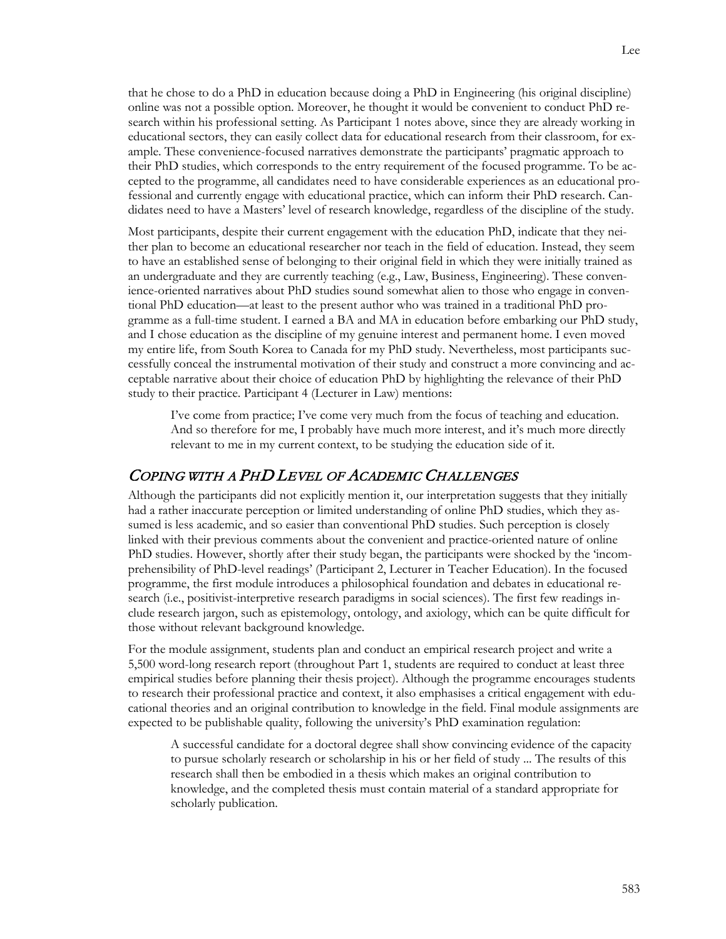that he chose to do a PhD in education because doing a PhD in Engineering (his original discipline) online was not a possible option. Moreover, he thought it would be convenient to conduct PhD research within his professional setting. As Participant 1 notes above, since they are already working in educational sectors, they can easily collect data for educational research from their classroom, for example. These convenience-focused narratives demonstrate the participants' pragmatic approach to their PhD studies, which corresponds to the entry requirement of the focused programme. To be accepted to the programme, all candidates need to have considerable experiences as an educational professional and currently engage with educational practice, which can inform their PhD research. Candidates need to have a Masters' level of research knowledge, regardless of the discipline of the study.

Most participants, despite their current engagement with the education PhD, indicate that they neither plan to become an educational researcher nor teach in the field of education. Instead, they seem to have an established sense of belonging to their original field in which they were initially trained as an undergraduate and they are currently teaching (e.g., Law, Business, Engineering). These convenience-oriented narratives about PhD studies sound somewhat alien to those who engage in conventional PhD education—at least to the present author who was trained in a traditional PhD programme as a full-time student. I earned a BA and MA in education before embarking our PhD study, and I chose education as the discipline of my genuine interest and permanent home. I even moved my entire life, from South Korea to Canada for my PhD study. Nevertheless, most participants successfully conceal the instrumental motivation of their study and construct a more convincing and acceptable narrative about their choice of education PhD by highlighting the relevance of their PhD study to their practice. Participant 4 (Lecturer in Law) mentions:

I've come from practice; I've come very much from the focus of teaching and education. And so therefore for me, I probably have much more interest, and it's much more directly relevant to me in my current context, to be studying the education side of it.

### COPING WITH A PHD LEVEL OF ACADEMIC CHALLENGES

Although the participants did not explicitly mention it, our interpretation suggests that they initially had a rather inaccurate perception or limited understanding of online PhD studies, which they assumed is less academic, and so easier than conventional PhD studies. Such perception is closely linked with their previous comments about the convenient and practice-oriented nature of online PhD studies. However, shortly after their study began, the participants were shocked by the 'incomprehensibility of PhD-level readings' (Participant 2, Lecturer in Teacher Education). In the focused programme, the first module introduces a philosophical foundation and debates in educational research (i.e., positivist-interpretive research paradigms in social sciences). The first few readings include research jargon, such as epistemology, ontology, and axiology, which can be quite difficult for those without relevant background knowledge.

For the module assignment, students plan and conduct an empirical research project and write a 5,500 word-long research report (throughout Part 1, students are required to conduct at least three empirical studies before planning their thesis project). Although the programme encourages students to research their professional practice and context, it also emphasises a critical engagement with educational theories and an original contribution to knowledge in the field. Final module assignments are expected to be publishable quality, following the university's PhD examination regulation:

A successful candidate for a doctoral degree shall show convincing evidence of the capacity to pursue scholarly research or scholarship in his or her field of study ... The results of this research shall then be embodied in a thesis which makes an original contribution to knowledge, and the completed thesis must contain material of a standard appropriate for scholarly publication.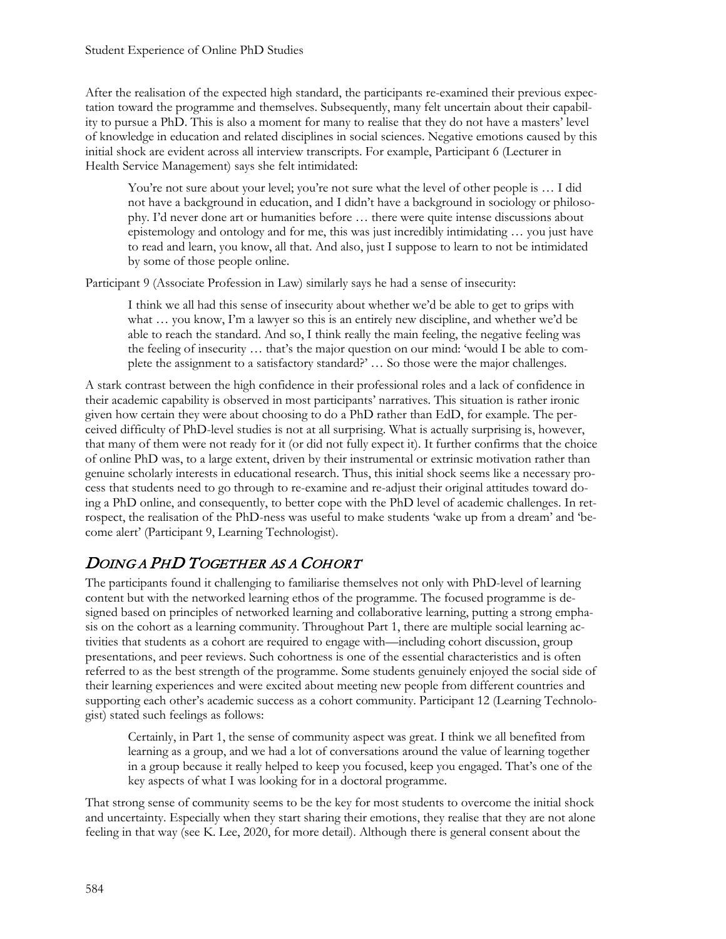After the realisation of the expected high standard, the participants re-examined their previous expectation toward the programme and themselves. Subsequently, many felt uncertain about their capability to pursue a PhD. This is also a moment for many to realise that they do not have a masters' level of knowledge in education and related disciplines in social sciences. Negative emotions caused by this initial shock are evident across all interview transcripts. For example, Participant 6 (Lecturer in Health Service Management) says she felt intimidated:

You're not sure about your level; you're not sure what the level of other people is ... I did not have a background in education, and I didn't have a background in sociology or philosophy. I'd never done art or humanities before … there were quite intense discussions about epistemology and ontology and for me, this was just incredibly intimidating … you just have to read and learn, you know, all that. And also, just I suppose to learn to not be intimidated by some of those people online.

Participant 9 (Associate Profession in Law) similarly says he had a sense of insecurity:

I think we all had this sense of insecurity about whether we'd be able to get to grips with what ... you know, I'm a lawyer so this is an entirely new discipline, and whether we'd be able to reach the standard. And so, I think really the main feeling, the negative feeling was the feeling of insecurity … that's the major question on our mind: 'would I be able to complete the assignment to a satisfactory standard?' … So those were the major challenges.

A stark contrast between the high confidence in their professional roles and a lack of confidence in their academic capability is observed in most participants' narratives. This situation is rather ironic given how certain they were about choosing to do a PhD rather than EdD, for example. The perceived difficulty of PhD-level studies is not at all surprising. What is actually surprising is, however, that many of them were not ready for it (or did not fully expect it). It further confirms that the choice of online PhD was, to a large extent, driven by their instrumental or extrinsic motivation rather than genuine scholarly interests in educational research. Thus, this initial shock seems like a necessary process that students need to go through to re-examine and re-adjust their original attitudes toward doing a PhD online, and consequently, to better cope with the PhD level of academic challenges. In retrospect, the realisation of the PhD-ness was useful to make students 'wake up from a dream' and 'become alert' (Participant 9, Learning Technologist).

# DOING A PHD TOGETHER AS A COHORT

The participants found it challenging to familiarise themselves not only with PhD-level of learning content but with the networked learning ethos of the programme. The focused programme is designed based on principles of networked learning and collaborative learning, putting a strong emphasis on the cohort as a learning community. Throughout Part 1, there are multiple social learning activities that students as a cohort are required to engage with—including cohort discussion, group presentations, and peer reviews. Such cohortness is one of the essential characteristics and is often referred to as the best strength of the programme. Some students genuinely enjoyed the social side of their learning experiences and were excited about meeting new people from different countries and supporting each other's academic success as a cohort community. Participant 12 (Learning Technologist) stated such feelings as follows:

Certainly, in Part 1, the sense of community aspect was great. I think we all benefited from learning as a group, and we had a lot of conversations around the value of learning together in a group because it really helped to keep you focused, keep you engaged. That's one of the key aspects of what I was looking for in a doctoral programme.

That strong sense of community seems to be the key for most students to overcome the initial shock and uncertainty. Especially when they start sharing their emotions, they realise that they are not alone feeling in that way (see K. Lee, 2020, for more detail). Although there is general consent about the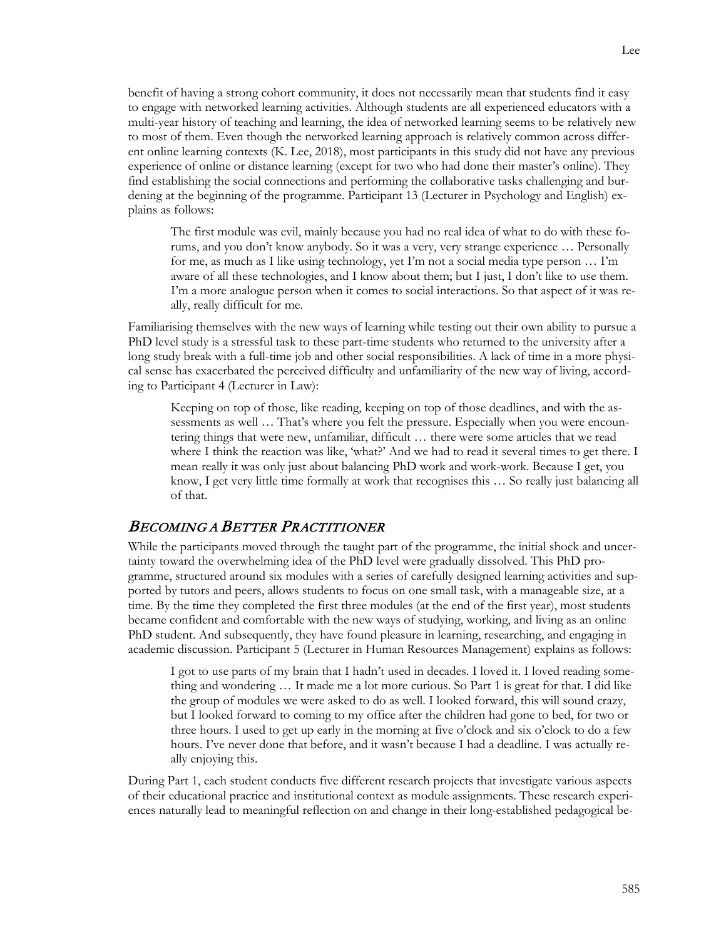benefit of having a strong cohort community, it does not necessarily mean that students find it easy to engage with networked learning activities. Although students are all experienced educators with a multi-year history of teaching and learning, the idea of networked learning seems to be relatively new to most of them. Even though the networked learning approach is relatively common across different online learning contexts (K. Lee, 2018), most participants in this study did not have any previous experience of online or distance learning (except for two who had done their master's online). They find establishing the social connections and performing the collaborative tasks challenging and burdening at the beginning of the programme. Participant 13 (Lecturer in Psychology and English) explains as follows:

The first module was evil, mainly because you had no real idea of what to do with these forums, and you don't know anybody. So it was a very, very strange experience … Personally for me, as much as I like using technology, yet I'm not a social media type person … I'm aware of all these technologies, and I know about them; but I just, I don't like to use them. I'm a more analogue person when it comes to social interactions. So that aspect of it was really, really difficult for me.

Familiarising themselves with the new ways of learning while testing out their own ability to pursue a PhD level study is a stressful task to these part-time students who returned to the university after a long study break with a full-time job and other social responsibilities. A lack of time in a more physical sense has exacerbated the perceived difficulty and unfamiliarity of the new way of living, according to Participant 4 (Lecturer in Law):

Keeping on top of those, like reading, keeping on top of those deadlines, and with the assessments as well … That's where you felt the pressure. Especially when you were encountering things that were new, unfamiliar, difficult … there were some articles that we read where I think the reaction was like, 'what?' And we had to read it several times to get there. I mean really it was only just about balancing PhD work and work-work. Because I get, you know, I get very little time formally at work that recognises this ... So really just balancing all of that.

#### BECOMING A BETTER PRACTITIONER

While the participants moved through the taught part of the programme, the initial shock and uncertainty toward the overwhelming idea of the PhD level were gradually dissolved. This PhD programme, structured around six modules with a series of carefully designed learning activities and supported by tutors and peers, allows students to focus on one small task, with a manageable size, at a time. By the time they completed the first three modules (at the end of the first year), most students became confident and comfortable with the new ways of studying, working, and living as an online PhD student. And subsequently, they have found pleasure in learning, researching, and engaging in academic discussion. Participant 5 (Lecturer in Human Resources Management) explains as follows:

I got to use parts of my brain that I hadn't used in decades. I loved it. I loved reading something and wondering … It made me a lot more curious. So Part 1 is great for that. I did like the group of modules we were asked to do as well. I looked forward, this will sound crazy, but I looked forward to coming to my office after the children had gone to bed, for two or three hours. I used to get up early in the morning at five o'clock and six o'clock to do a few hours. I've never done that before, and it wasn't because I had a deadline. I was actually really enjoying this.

During Part 1, each student conducts five different research projects that investigate various aspects of their educational practice and institutional context as module assignments. These research experiences naturally lead to meaningful reflection on and change in their long-established pedagogical be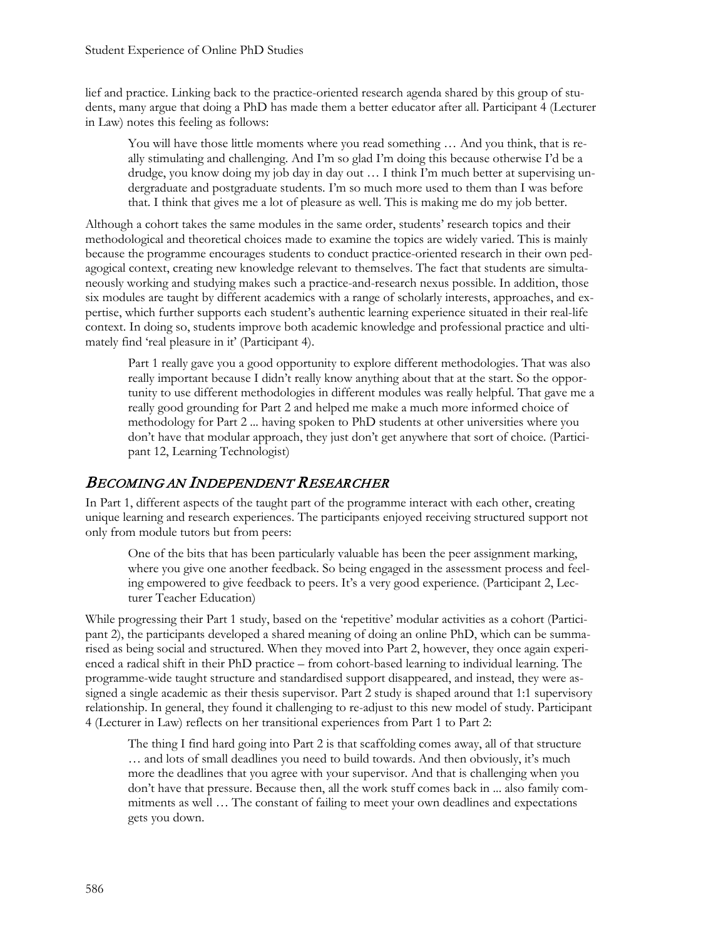lief and practice. Linking back to the practice-oriented research agenda shared by this group of students, many argue that doing a PhD has made them a better educator after all. Participant 4 (Lecturer in Law) notes this feeling as follows:

You will have those little moments where you read something ... And you think, that is really stimulating and challenging. And I'm so glad I'm doing this because otherwise I'd be a drudge, you know doing my job day in day out … I think I'm much better at supervising undergraduate and postgraduate students. I'm so much more used to them than I was before that. I think that gives me a lot of pleasure as well. This is making me do my job better.

Although a cohort takes the same modules in the same order, students' research topics and their methodological and theoretical choices made to examine the topics are widely varied. This is mainly because the programme encourages students to conduct practice-oriented research in their own pedagogical context, creating new knowledge relevant to themselves. The fact that students are simultaneously working and studying makes such a practice-and-research nexus possible. In addition, those six modules are taught by different academics with a range of scholarly interests, approaches, and expertise, which further supports each student's authentic learning experience situated in their real-life context. In doing so, students improve both academic knowledge and professional practice and ultimately find 'real pleasure in it' (Participant 4).

Part 1 really gave you a good opportunity to explore different methodologies. That was also really important because I didn't really know anything about that at the start. So the opportunity to use different methodologies in different modules was really helpful. That gave me a really good grounding for Part 2 and helped me make a much more informed choice of methodology for Part 2 ... having spoken to PhD students at other universities where you don't have that modular approach, they just don't get anywhere that sort of choice. (Participant 12, Learning Technologist)

### BECOMING AN INDEPENDENT RESEARCHER

In Part 1, different aspects of the taught part of the programme interact with each other, creating unique learning and research experiences. The participants enjoyed receiving structured support not only from module tutors but from peers:

One of the bits that has been particularly valuable has been the peer assignment marking, where you give one another feedback. So being engaged in the assessment process and feeling empowered to give feedback to peers. It's a very good experience. (Participant 2, Lecturer Teacher Education)

While progressing their Part 1 study, based on the 'repetitive' modular activities as a cohort (Participant 2), the participants developed a shared meaning of doing an online PhD, which can be summarised as being social and structured. When they moved into Part 2, however, they once again experienced a radical shift in their PhD practice – from cohort-based learning to individual learning. The programme-wide taught structure and standardised support disappeared, and instead, they were assigned a single academic as their thesis supervisor. Part 2 study is shaped around that 1:1 supervisory relationship. In general, they found it challenging to re-adjust to this new model of study. Participant 4 (Lecturer in Law) reflects on her transitional experiences from Part 1 to Part 2:

The thing I find hard going into Part 2 is that scaffolding comes away, all of that structure … and lots of small deadlines you need to build towards. And then obviously, it's much more the deadlines that you agree with your supervisor. And that is challenging when you don't have that pressure. Because then, all the work stuff comes back in ... also family commitments as well … The constant of failing to meet your own deadlines and expectations gets you down.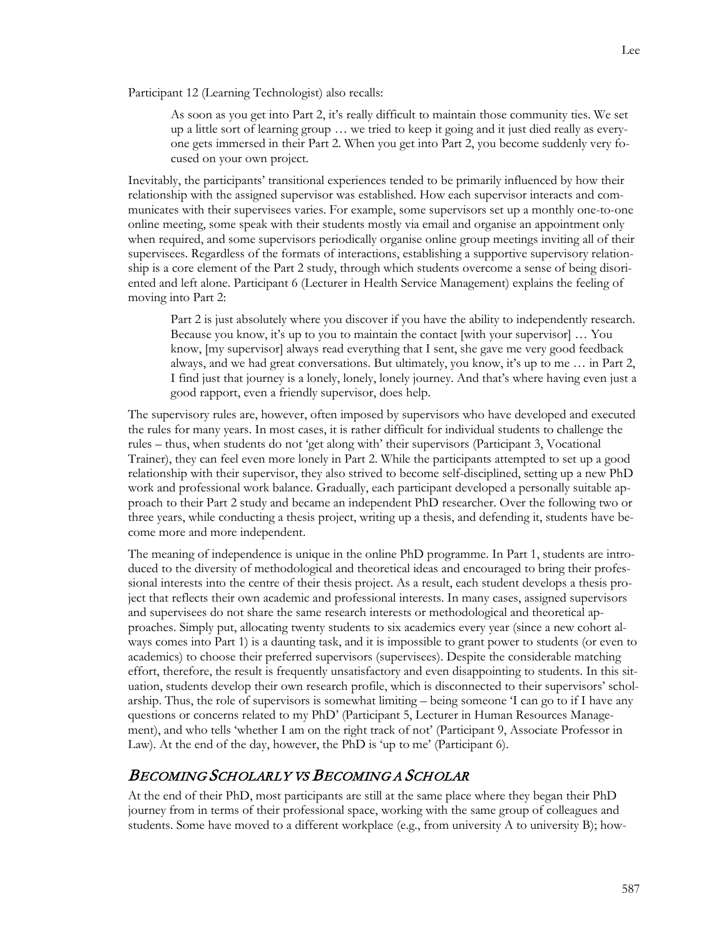Participant 12 (Learning Technologist) also recalls:

As soon as you get into Part 2, it's really difficult to maintain those community ties. We set up a little sort of learning group … we tried to keep it going and it just died really as everyone gets immersed in their Part 2. When you get into Part 2, you become suddenly very focused on your own project.

Inevitably, the participants' transitional experiences tended to be primarily influenced by how their relationship with the assigned supervisor was established. How each supervisor interacts and communicates with their supervisees varies. For example, some supervisors set up a monthly one-to-one online meeting, some speak with their students mostly via email and organise an appointment only when required, and some supervisors periodically organise online group meetings inviting all of their supervisees. Regardless of the formats of interactions, establishing a supportive supervisory relationship is a core element of the Part 2 study, through which students overcome a sense of being disoriented and left alone. Participant 6 (Lecturer in Health Service Management) explains the feeling of moving into Part 2:

Part 2 is just absolutely where you discover if you have the ability to independently research. Because you know, it's up to you to maintain the contact [with your supervisor] … You know, [my supervisor] always read everything that I sent, she gave me very good feedback always, and we had great conversations. But ultimately, you know, it's up to me … in Part 2, I find just that journey is a lonely, lonely, lonely journey. And that's where having even just a good rapport, even a friendly supervisor, does help.

The supervisory rules are, however, often imposed by supervisors who have developed and executed the rules for many years. In most cases, it is rather difficult for individual students to challenge the rules – thus, when students do not 'get along with' their supervisors (Participant 3, Vocational Trainer), they can feel even more lonely in Part 2. While the participants attempted to set up a good relationship with their supervisor, they also strived to become self-disciplined, setting up a new PhD work and professional work balance. Gradually, each participant developed a personally suitable approach to their Part 2 study and became an independent PhD researcher. Over the following two or three years, while conducting a thesis project, writing up a thesis, and defending it, students have become more and more independent.

The meaning of independence is unique in the online PhD programme. In Part 1, students are introduced to the diversity of methodological and theoretical ideas and encouraged to bring their professional interests into the centre of their thesis project. As a result, each student develops a thesis project that reflects their own academic and professional interests. In many cases, assigned supervisors and supervisees do not share the same research interests or methodological and theoretical approaches. Simply put, allocating twenty students to six academics every year (since a new cohort always comes into Part 1) is a daunting task, and it is impossible to grant power to students (or even to academics) to choose their preferred supervisors (supervisees). Despite the considerable matching effort, therefore, the result is frequently unsatisfactory and even disappointing to students. In this situation, students develop their own research profile, which is disconnected to their supervisors' scholarship. Thus, the role of supervisors is somewhat limiting – being someone 'I can go to if I have any questions or concerns related to my PhD' (Participant 5, Lecturer in Human Resources Management), and who tells 'whether I am on the right track of not' (Participant 9, Associate Professor in Law). At the end of the day, however, the PhD is 'up to me' (Participant 6).

## BECOMING SCHOLARLY VS BECOMING A SCHOLAR

At the end of their PhD, most participants are still at the same place where they began their PhD journey from in terms of their professional space, working with the same group of colleagues and students. Some have moved to a different workplace (e.g., from university A to university B); how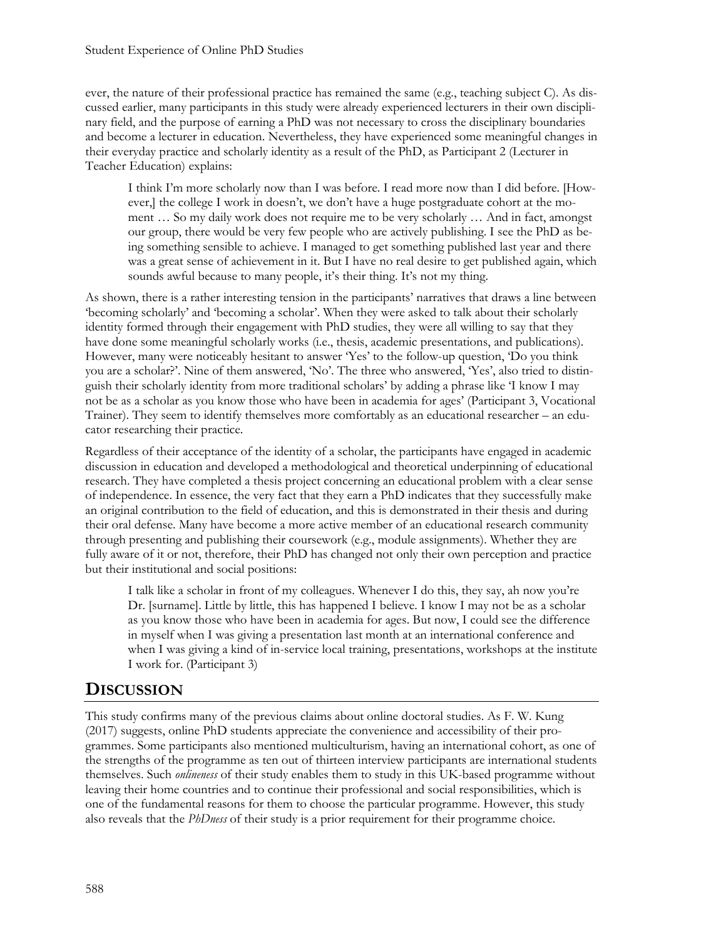ever, the nature of their professional practice has remained the same (e.g., teaching subject C). As discussed earlier, many participants in this study were already experienced lecturers in their own disciplinary field, and the purpose of earning a PhD was not necessary to cross the disciplinary boundaries and become a lecturer in education. Nevertheless, they have experienced some meaningful changes in their everyday practice and scholarly identity as a result of the PhD, as Participant 2 (Lecturer in Teacher Education) explains:

I think I'm more scholarly now than I was before. I read more now than I did before. [However,] the college I work in doesn't, we don't have a huge postgraduate cohort at the moment … So my daily work does not require me to be very scholarly … And in fact, amongst our group, there would be very few people who are actively publishing. I see the PhD as being something sensible to achieve. I managed to get something published last year and there was a great sense of achievement in it. But I have no real desire to get published again, which sounds awful because to many people, it's their thing. It's not my thing.

As shown, there is a rather interesting tension in the participants' narratives that draws a line between 'becoming scholarly' and 'becoming a scholar'. When they were asked to talk about their scholarly identity formed through their engagement with PhD studies, they were all willing to say that they have done some meaningful scholarly works (i.e., thesis, academic presentations, and publications). However, many were noticeably hesitant to answer 'Yes' to the follow-up question, 'Do you think you are a scholar?'. Nine of them answered, 'No'. The three who answered, 'Yes', also tried to distinguish their scholarly identity from more traditional scholars' by adding a phrase like 'I know I may not be as a scholar as you know those who have been in academia for ages' (Participant 3, Vocational Trainer). They seem to identify themselves more comfortably as an educational researcher – an educator researching their practice.

Regardless of their acceptance of the identity of a scholar, the participants have engaged in academic discussion in education and developed a methodological and theoretical underpinning of educational research. They have completed a thesis project concerning an educational problem with a clear sense of independence. In essence, the very fact that they earn a PhD indicates that they successfully make an original contribution to the field of education, and this is demonstrated in their thesis and during their oral defense. Many have become a more active member of an educational research community through presenting and publishing their coursework (e.g., module assignments). Whether they are fully aware of it or not, therefore, their PhD has changed not only their own perception and practice but their institutional and social positions:

I talk like a scholar in front of my colleagues. Whenever I do this, they say, ah now you're Dr. [surname]. Little by little, this has happened I believe. I know I may not be as a scholar as you know those who have been in academia for ages. But now, I could see the difference in myself when I was giving a presentation last month at an international conference and when I was giving a kind of in-service local training, presentations, workshops at the institute I work for. (Participant 3)

## **DISCUSSION**

This study confirms many of the previous claims about online doctoral studies. As F. W. Kung (2017) suggests, online PhD students appreciate the convenience and accessibility of their programmes. Some participants also mentioned multiculturism, having an international cohort, as one of the strengths of the programme as ten out of thirteen interview participants are international students themselves. Such *onlineness* of their study enables them to study in this UK-based programme without leaving their home countries and to continue their professional and social responsibilities, which is one of the fundamental reasons for them to choose the particular programme. However, this study also reveals that the *PhDness* of their study is a prior requirement for their programme choice.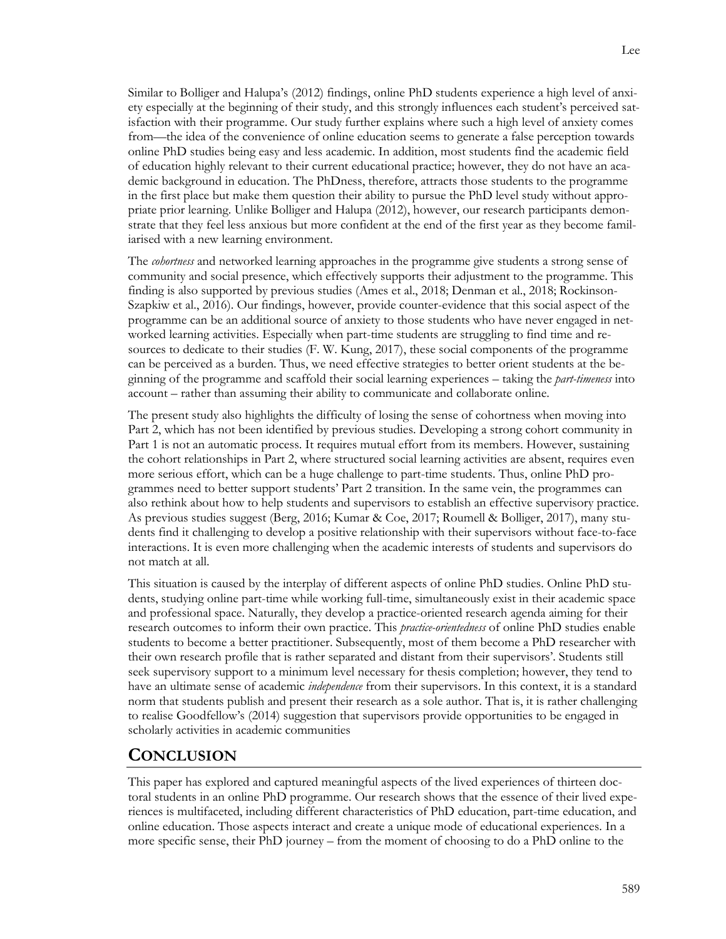Similar to Bolliger and Halupa's (2012) findings, online PhD students experience a high level of anxiety especially at the beginning of their study, and this strongly influences each student's perceived satisfaction with their programme. Our study further explains where such a high level of anxiety comes from—the idea of the convenience of online education seems to generate a false perception towards online PhD studies being easy and less academic. In addition, most students find the academic field of education highly relevant to their current educational practice; however, they do not have an academic background in education. The PhDness, therefore, attracts those students to the programme in the first place but make them question their ability to pursue the PhD level study without appropriate prior learning. Unlike Bolliger and Halupa (2012), however, our research participants demonstrate that they feel less anxious but more confident at the end of the first year as they become familiarised with a new learning environment.

The *cohortness* and networked learning approaches in the programme give students a strong sense of community and social presence, which effectively supports their adjustment to the programme. This finding is also supported by previous studies (Ames et al., 2018; Denman et al., 2018; Rockinson-Szapkiw et al., 2016). Our findings, however, provide counter-evidence that this social aspect of the programme can be an additional source of anxiety to those students who have never engaged in networked learning activities. Especially when part-time students are struggling to find time and resources to dedicate to their studies (F. W. Kung, 2017), these social components of the programme can be perceived as a burden. Thus, we need effective strategies to better orient students at the beginning of the programme and scaffold their social learning experiences – taking the *part-timeness* into account – rather than assuming their ability to communicate and collaborate online.

The present study also highlights the difficulty of losing the sense of cohortness when moving into Part 2, which has not been identified by previous studies. Developing a strong cohort community in Part 1 is not an automatic process. It requires mutual effort from its members. However, sustaining the cohort relationships in Part 2, where structured social learning activities are absent, requires even more serious effort, which can be a huge challenge to part-time students. Thus, online PhD programmes need to better support students' Part 2 transition. In the same vein, the programmes can also rethink about how to help students and supervisors to establish an effective supervisory practice. As previous studies suggest (Berg, 2016; Kumar & Coe, 2017; Roumell & Bolliger, 2017), many students find it challenging to develop a positive relationship with their supervisors without face-to-face interactions. It is even more challenging when the academic interests of students and supervisors do not match at all.

This situation is caused by the interplay of different aspects of online PhD studies. Online PhD students, studying online part-time while working full-time, simultaneously exist in their academic space and professional space. Naturally, they develop a practice-oriented research agenda aiming for their research outcomes to inform their own practice. This *practice-orientedness* of online PhD studies enable students to become a better practitioner. Subsequently, most of them become a PhD researcher with their own research profile that is rather separated and distant from their supervisors'. Students still seek supervisory support to a minimum level necessary for thesis completion; however, they tend to have an ultimate sense of academic *independence* from their supervisors. In this context, it is a standard norm that students publish and present their research as a sole author. That is, it is rather challenging to realise Goodfellow's (2014) suggestion that supervisors provide opportunities to be engaged in scholarly activities in academic communities

### **CONCLUSION**

This paper has explored and captured meaningful aspects of the lived experiences of thirteen doctoral students in an online PhD programme. Our research shows that the essence of their lived experiences is multifaceted, including different characteristics of PhD education, part-time education, and online education. Those aspects interact and create a unique mode of educational experiences. In a more specific sense, their PhD journey – from the moment of choosing to do a PhD online to the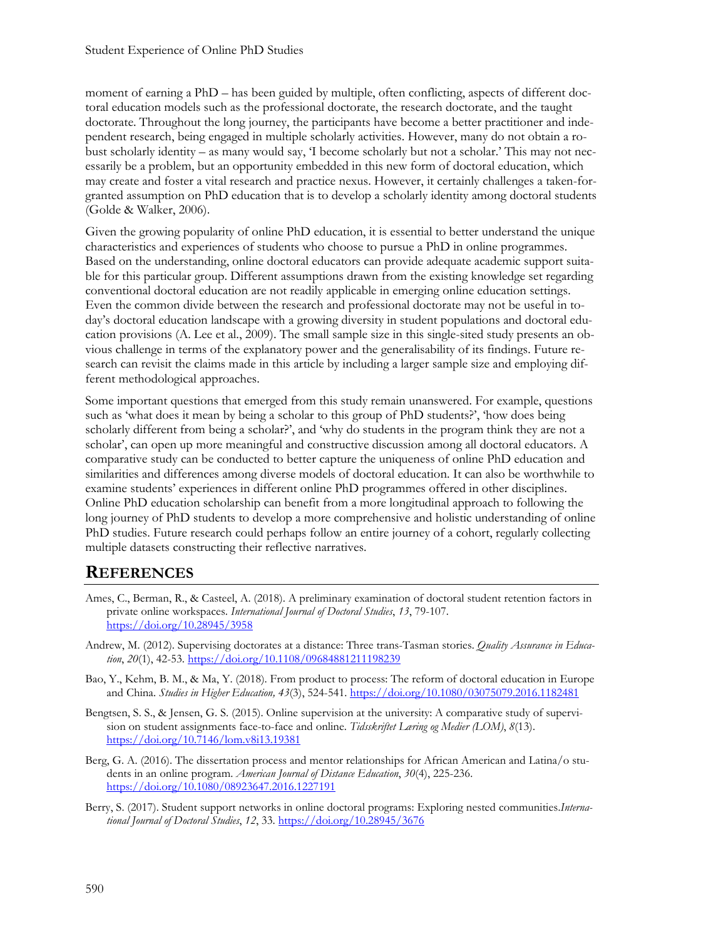moment of earning a PhD – has been guided by multiple, often conflicting, aspects of different doctoral education models such as the professional doctorate, the research doctorate, and the taught doctorate. Throughout the long journey, the participants have become a better practitioner and independent research, being engaged in multiple scholarly activities. However, many do not obtain a robust scholarly identity – as many would say, 'I become scholarly but not a scholar.' This may not necessarily be a problem, but an opportunity embedded in this new form of doctoral education, which may create and foster a vital research and practice nexus. However, it certainly challenges a taken-forgranted assumption on PhD education that is to develop a scholarly identity among doctoral students (Golde & Walker, 2006).

Given the growing popularity of online PhD education, it is essential to better understand the unique characteristics and experiences of students who choose to pursue a PhD in online programmes. Based on the understanding, online doctoral educators can provide adequate academic support suitable for this particular group. Different assumptions drawn from the existing knowledge set regarding conventional doctoral education are not readily applicable in emerging online education settings. Even the common divide between the research and professional doctorate may not be useful in today's doctoral education landscape with a growing diversity in student populations and doctoral education provisions (A. Lee et al., 2009). The small sample size in this single-sited study presents an obvious challenge in terms of the explanatory power and the generalisability of its findings. Future research can revisit the claims made in this article by including a larger sample size and employing different methodological approaches.

Some important questions that emerged from this study remain unanswered. For example, questions such as 'what does it mean by being a scholar to this group of PhD students?', 'how does being scholarly different from being a scholar?', and 'why do students in the program think they are not a scholar', can open up more meaningful and constructive discussion among all doctoral educators. A comparative study can be conducted to better capture the uniqueness of online PhD education and similarities and differences among diverse models of doctoral education. It can also be worthwhile to examine students' experiences in different online PhD programmes offered in other disciplines. Online PhD education scholarship can benefit from a more longitudinal approach to following the long journey of PhD students to develop a more comprehensive and holistic understanding of online PhD studies. Future research could perhaps follow an entire journey of a cohort, regularly collecting multiple datasets constructing their reflective narratives.

## **REFERENCES**

- Ames, C., Berman, R., & Casteel, A. (2018). A preliminary examination of doctoral student retention factors in private online workspaces. *International Journal of Doctoral Studies*, *13*, 79-107. <https://doi.org/10.28945/3958>
- Andrew, M. (2012). Supervising doctorates at a distance: Three trans-Tasman stories. *Quality Assurance in Education*, *20*(1), 42-53. <https://doi.org/10.1108/09684881211198239>
- Bao, Y., Kehm, B. M., & Ma, Y. (2018). From product to process: The reform of doctoral education in Europe and China. *Studies in Higher Education, 43*(3), 524-541. <https://doi.org/10.1080/03075079.2016.1182481>
- Bengtsen, S. S., & Jensen, G. S. (2015). Online supervision at the university: A comparative study of supervision on student assignments face-to-face and online. *Tidsskriftet Læring og Medier (LOM)*, *8*(13). <https://doi.org/10.7146/lom.v8i13.19381>
- Berg, G. A. (2016). The dissertation process and mentor relationships for African American and Latina/o students in an online program. *American Journal of Distance Education*, *30*(4), 225-236. htt[ps://doi.org/10.1080/08923647.2016.1227191](https://doi.org/10.1080/08923647.2016.1227191)
- Berry, S. (2017). Student support networks in online doctoral programs: Exploring nested communities.*International Journal of Doctoral Studies*, *12*, 33. <https://doi.org/10.28945/3676>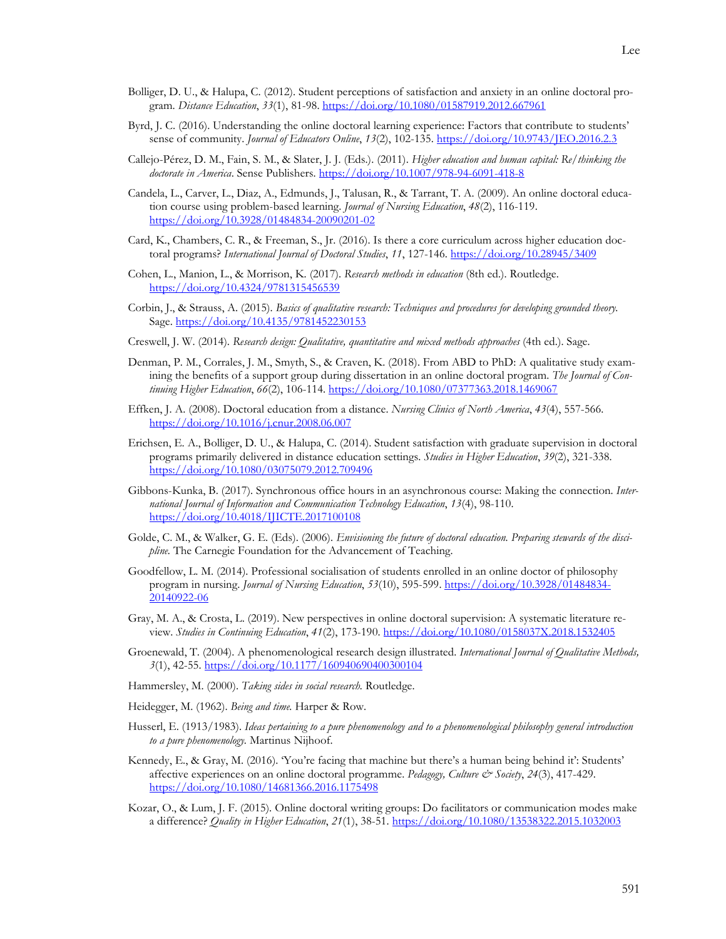- Bolliger, D. U., & Halupa, C. (2012). Student perceptions of satisfaction and anxiety in an online doctoral program. *Distance Education*, *33*(1), 81-98. <https://doi.org/10.1080/01587919.2012.667961>
- Byrd, J. C. (2016). Understanding the online doctoral learning experience: Factors that contribute to students' sense of community. *Journal of Educators Online*, *13*(2), 102-135. <https://doi.org/10.9743/JEO.2016.2.3>
- Callejo-Pérez, D. M., Fain, S. M., & Slater, J. J. (Eds.). (2011). *Higher education and human capital: Re/thinking the doctorate in America*. Sense Publishers. <https://doi.org/10.1007/978-94-6091-418-8>
- Candela, L., Carver, L., Diaz, A., Edmunds, J., Talusan, R., & Tarrant, T. A. (2009). An online doctoral education course using problem-based learning. *Journal of Nursing Education*, *48*(2), 116-119. <https://doi.org/10.3928/01484834-20090201-02>
- Card, K., Chambers, C. R., & Freeman, S., Jr. (2016). Is there a core curriculum across higher education doctoral programs? *International Journal of Doctoral Studies*, *11*, 127-146. <https://doi.org/10.28945/3409>
- Cohen, L., Manion, L., & Morrison, K. (2017). *Research methods in education* (8th ed.). Routledge. <https://doi.org/10.4324/9781315456539>
- Corbin, J., & Strauss, A. (2015). *Basics of qualitative research: Techniques and procedures for developing grounded theory.* Sage.<https://doi.org/10.4135/9781452230153>
- Creswell, J. W. (2014). Research design: Qualitative, quantitative and mixed methods approaches (4th ed.). Sage.
- Denman, P. M., Corrales, J. M., Smyth, S., & Craven, K. (2018). From ABD to PhD: A qualitative study examining the benefits of a support group during dissertation in an online doctoral program. *The Journal of Continuing Higher Education*, *66*(2), 106-114. <https://doi.org/10.1080/07377363.2018.1469067>
- Effken, J. A. (2008). Doctoral education from a distance. *Nursing Clinics of North America*, *43*(4), 557-566. <https://doi.org/10.1016/j.cnur.2008.06.007>
- Erichsen, E. A., Bolliger, D. U., & Halupa, C. (2014). Student satisfaction with graduate supervision in doctoral programs primarily delivered in distance education settings. *Studies in Higher Education*, *39*(2), 321-338. <https://doi.org/10.1080/03075079.2012.709496>
- Gibbons-Kunka, B. (2017). Synchronous office hours in an asynchronous course: Making the connection. *International Journal of Information and Communication Technology Education*, *13*(4), 98-110. <https://doi.org/10.4018/IJICTE.2017100108>
- Golde, C. M., & Walker, G. E. (Eds). (2006). *Envisioning the future of doctoral education. Preparing stewards of the discipline.* The Carnegie Foundation for the Advancement of Teaching.
- Goodfellow, L. M. (2014). Professional socialisation of students enrolled in an online doctor of philosophy program in nursing. *Journal of Nursing Education*, *53*(10), 595-599. [https://doi.org/10.3928/01484834-](https://doi.org/10.3928/01484834-20140922-06) [20140922-06](https://doi.org/10.3928/01484834-20140922-06)
- Gray, M. A., & Crosta, L. (2019). New perspectives in online doctoral supervision: A systematic literature review. *Studies in Continuing Education*, *41*(2), 173-190. <https://doi.org/10.1080/0158037X.2018.1532405>
- Groenewald, T. (2004). A phenomenological research design illustrated. *International Journal of Qualitative Methods, 3*(1), 42-55. <https://doi.org/10.1177/160940690400300104>
- Hammersley, M. (2000). *Taking sides in social research.* Routledge.
- Heidegger, M. (1962). *Being and time.* Harper & Row.
- Husserl, E. (1913/1983). *Ideas pertaining to a pure phenomenology and to a phenomenological philosophy general introduction to a pure phenomenology.* Martinus Nijhoof.
- Kennedy, E., & Gray, M. (2016). 'You're facing that machine but there's a human being behind it': Students' affective experiences on an online doctoral programme. *Pedagogy, Culture & Society*, *24*(3), 417-429. <https://doi.org/10.1080/14681366.2016.1175498>
- Kozar, O., & Lum, J. F. (2015). Online doctoral writing groups: Do facilitators or communication modes make a difference? *Quality in Higher Education*, *21*(1), 38-51. <https://doi.org/10.1080/13538322.2015.1032003>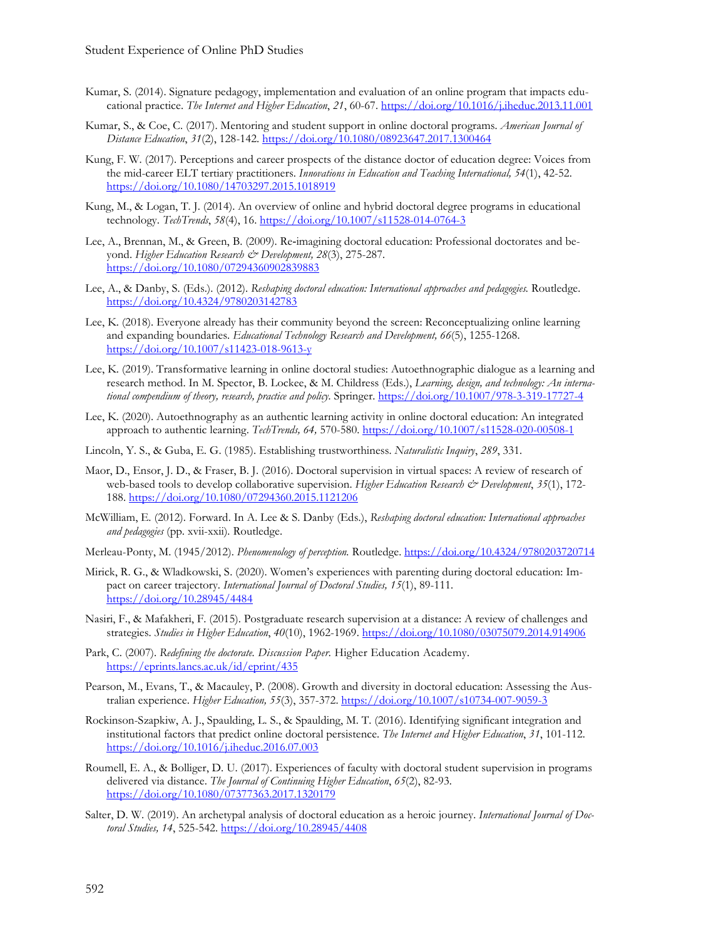- Kumar, S. (2014). Signature pedagogy, implementation and evaluation of an online program that impacts educational practice. *The Internet and Higher Education*, *21*, 60-67. <https://doi.org/10.1016/j.iheduc.2013.11.001>
- Kumar, S., & Coe, C. (2017). Mentoring and student support in online doctoral programs. *American Journal of Distance Education*, *31*(2), 128-142. <https://doi.org/10.1080/08923647.2017.1300464>
- Kung, F. W. (2017). Perceptions and career prospects of the distance doctor of education degree: Voices from the mid-career ELT tertiary practitioners. *Innovations in Education and Teaching International, 54*(1), 42-52. <https://doi.org/10.1080/14703297.2015.1018919>
- Kung, M., & Logan, T. J. (2014). An overview of online and hybrid doctoral degree programs in educational technology. *TechTrends*, *58*(4), 16. <https://doi.org/10.1007/s11528-014-0764-3>
- Lee, A., Brennan, M., & Green, B. (2009). Re-imagining doctoral education: Professional doctorates and beyond. *Higher Education Research & Development*, 28(3), 275-287. <https://doi.org/10.1080/07294360902839883>
- Lee, A., & Danby, S. (Eds.). (2012). *Reshaping doctoral education: International approaches and pedagogies.* Routledge. <https://doi.org/10.4324/9780203142783>
- Lee, K. (2018). Everyone already has their community beyond the screen: Reconceptualizing online learning and expanding boundaries. *Educational Technology Research and Development, 66*(5), 1255-1268. <https://doi.org/10.1007/s11423-018-9613-y>
- Lee, K. (2019). Transformative learning in online doctoral studies: Autoethnographic dialogue as a learning and research method. In M. Spector, B. Lockee, & M. Childress (Eds.), *Learning, design, and technology: An international compendium of theory, research, practice and policy.* Springer. <https://doi.org/10.1007/978-3-319-17727-4>
- Lee, K. (2020). Autoethnography as an authentic learning activity in online doctoral education: An integrated approach to authentic learning. *TechTrends, 64,* 570-580. <https://doi.org/10.1007/s11528-020-00508-1>
- Lincoln, Y. S., & Guba, E. G. (1985). Establishing trustworthiness. *Naturalistic Inquiry*, *289*, 331.
- Maor, D., Ensor, J. D., & Fraser, B. J. (2016). Doctoral supervision in virtual spaces: A review of research of web-based tools to develop collaborative supervision. *Higher Education Research & Development*,  $35(1)$ , 172-188. <https://doi.org/10.1080/07294360.2015.1121206>
- McWilliam, E. (2012). Forward. In A. Lee & S. Danby (Eds.), *Reshaping doctoral education: International approaches and pedagogies* (pp. xvii-xxii)*.* Routledge.
- Merleau-Ponty, M. (1945/2012). *Phenomenology of perception.* Routledge. <https://doi.org/10.4324/9780203720714>
- Mirick, R. G., & Wladkowski, S. (2020). Women's experiences with parenting during doctoral education: Impact on career trajectory. *International Journal of Doctoral Studies, 15*(1), 89-111. <https://doi.org/10.28945/4484>
- Nasiri, F., & Mafakheri, F. (2015). Postgraduate research supervision at a distance: A review of challenges and strategies. *Studies in Higher Education*, *40*(10), 1962-1969. <https://doi.org/10.1080/03075079.2014.914906>
- Park, C. (2007). *Redefining the doctorate. Discussion Paper.* Higher Education Academy. <https://eprints.lancs.ac.uk/id/eprint/435>
- Pearson, M., Evans, T., & Macauley, P. (2008). Growth and diversity in doctoral education: Assessing the Australian experience. *Higher Education, 55*(3), 357-372. <https://doi.org/10.1007/s10734-007-9059-3>
- Rockinson-Szapkiw, A. J., Spaulding, L. S., & Spaulding, M. T. (2016). Identifying significant integration and institutional factors that predict online doctoral persistence. *The Internet and Higher Education*, *31*, 101-112. <https://doi.org/10.1016/j.iheduc.2016.07.003>
- Roumell, E. A., & Bolliger, D. U. (2017). Experiences of faculty with doctoral student supervision in programs delivered via distance. *The Journal of Continuing Higher Education*, *65*(2), 82-93. <https://doi.org/10.1080/07377363.2017.1320179>
- Salter, D. W. (2019). An archetypal analysis of doctoral education as a heroic journey. *International Journal of Doctoral Studies, 14*, 525-542. <https://doi.org/10.28945/4408>